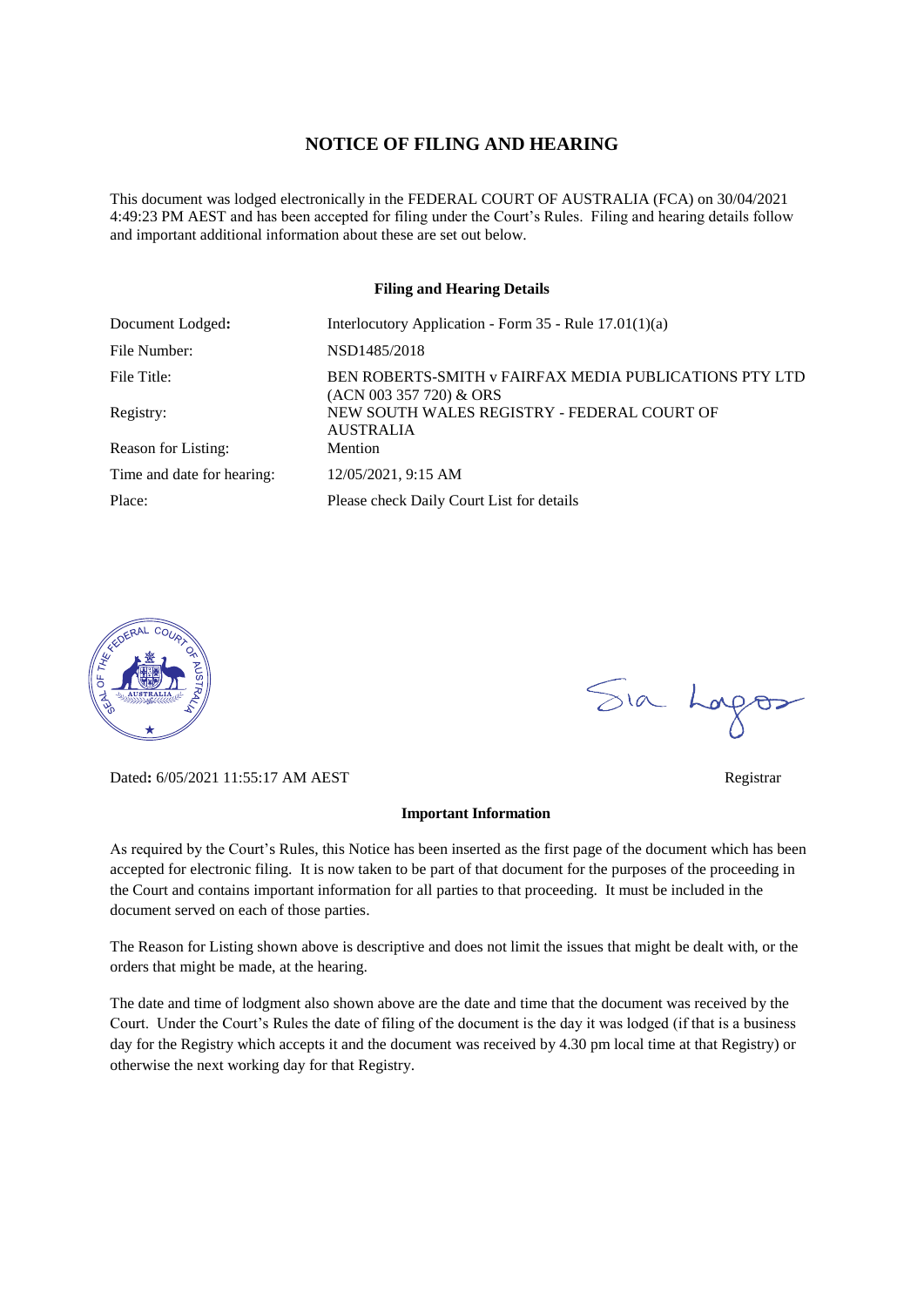#### **NOTICE OF FILING AND HEARING**

This document was lodged electronically in the FEDERAL COURT OF AUSTRALIA (FCA) on 30/04/2021 4:49:23 PM AEST and has been accepted for filing under the Court's Rules. Filing and hearing details follow and important additional information about these are set out below.

#### **Filing and Hearing Details**

| Document Lodged:           | Interlocutory Application - Form $35$ - Rule $17.01(1)(a)$                        |
|----------------------------|-----------------------------------------------------------------------------------|
| File Number:               | NSD1485/2018                                                                      |
| File Title:                | BEN ROBERTS-SMITH v FAIRFAX MEDIA PUBLICATIONS PTY LTD<br>(ACN 003 357 720) & ORS |
| Registry:                  | NEW SOUTH WALES REGISTRY - FEDERAL COURT OF<br><b>AUSTRALIA</b>                   |
| Reason for Listing:        | Mention                                                                           |
| Time and date for hearing: | 12/05/2021, 9:15 AM                                                               |
| Place:                     | Please check Daily Court List for details                                         |



Dated**:** 6/05/2021 11:55:17 AM AEST Registrar

#### **Important Information**

As required by the Court's Rules, this Notice has been inserted as the first page of the document which has been accepted for electronic filing. It is now taken to be part of that document for the purposes of the proceeding in the Court and contains important information for all parties to that proceeding. It must be included in the document served on each of those parties.

The Reason for Listing shown above is descriptive and does not limit the issues that might be dealt with, or the orders that might be made, at the hearing.

The date and time of lodgment also shown above are the date and time that the document was received by the Court. Under the Court's Rules the date of filing of the document is the day it was lodged (if that is a business day for the Registry which accepts it and the document was received by 4.30 pm local time at that Registry) or otherwise the next working day for that Registry.

Sia Logos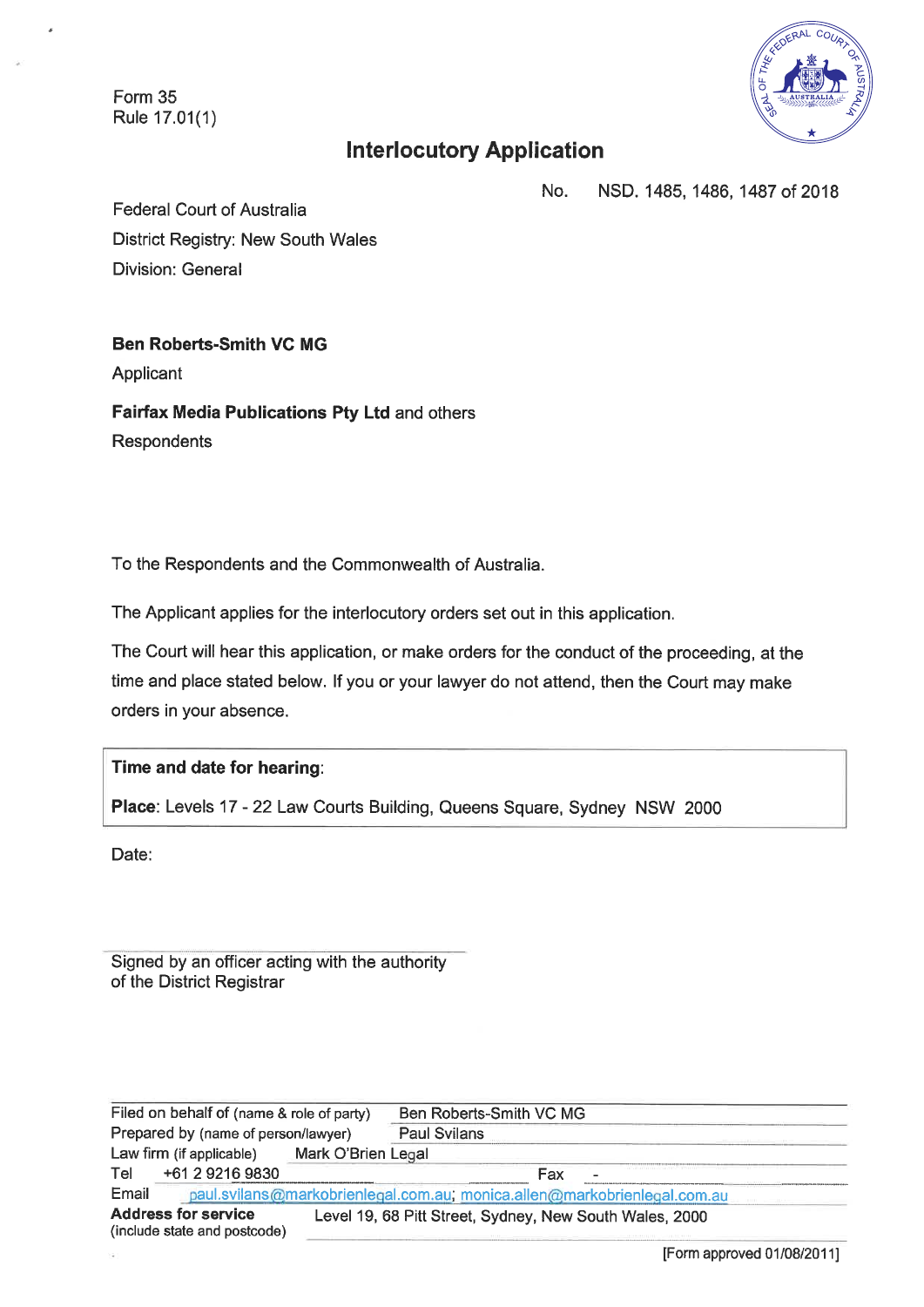Form 35 Rule 17.01(1)



# **Interlocutory Application**

No. NSD. 1485, 1486, 1487 of 2018

**Federal Court of Australia District Registry: New South Wales Division: General** 

## **Ben Roberts-Smith VC MG**

Applicant

Fairfax Media Publications Pty Ltd and others Respondents

To the Respondents and the Commonwealth of Australia.

The Applicant applies for the interlocutory orders set out in this application.

The Court will hear this application, or make orders for the conduct of the proceeding, at the time and place stated below. If you or your lawyer do not attend, then the Court may make orders in your absence.

#### Time and date for hearing:

Place: Levels 17 - 22 Law Courts Building, Queens Square, Sydney NSW 2000

Date:

Signed by an officer acting with the authority of the District Registrar

Filed on behalf of (name & role of party) Ben Roberts-Smith VC MG Prepared by (name of person/lawyer) **Paul Svilans** Law firm (if applicable) Mark O'Brien Legal Tel +61 2 9216 9830 Fax Email paul.svilans@markobrienlegal.com.au; monica.allen@markobrienlegal.com.au **Address for service** Level 19, 68 Pitt Street, Sydney, New South Wales, 2000 (include state and postcode)